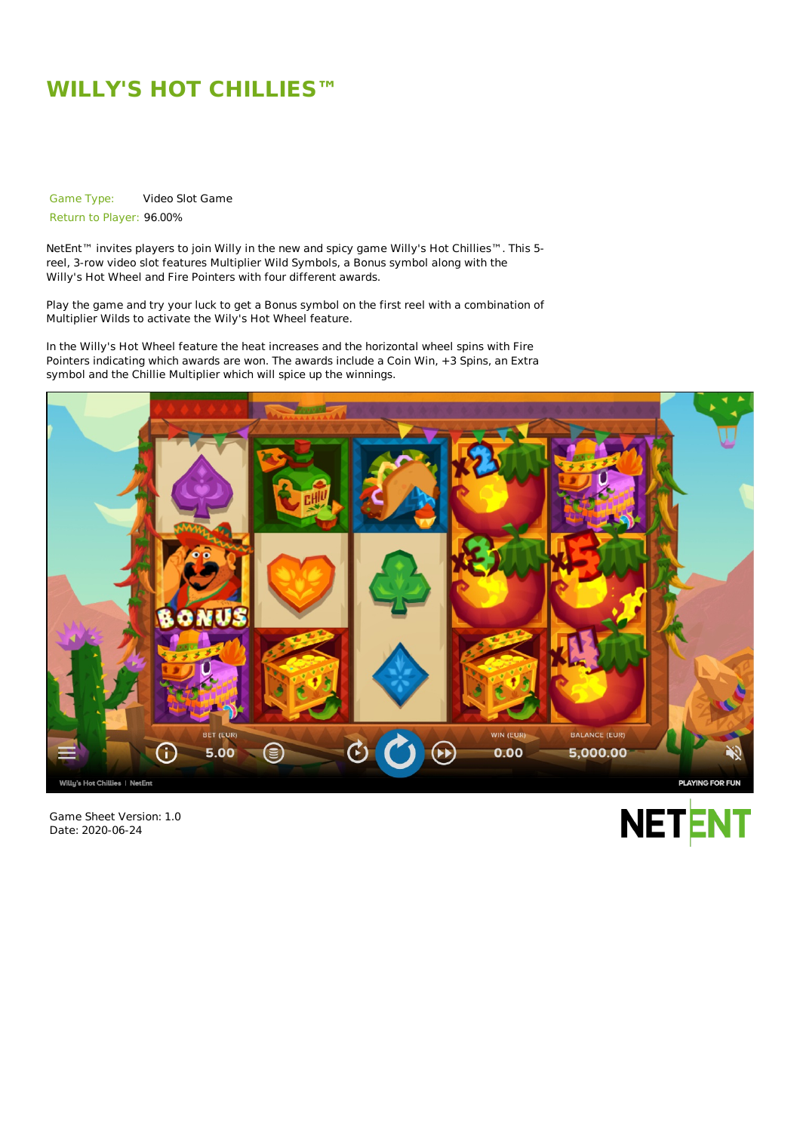# **WILLY'S HOT CHILLIES™**

Game Type: Video Slot Game

Return to Player: 96.00%

NetEnt<sup>™</sup> invites players to join Willy in the new and spicy game Willy's Hot Chillies™. This 5reel, 3-row video slot features Multiplier Wild Symbols, a Bonus symbol along with the Willy's Hot Wheel and Fire Pointers with four different awards.

Play the game and try your luck to get a Bonus symbol on the first reel with a combination of Multiplier Wilds to activate the Wily's Hot Wheel feature.

In the Willy's Hot Wheel feature the heat increases and the horizontal wheel spins with Fire Pointers indicating which awards are won. The awards include a Coin Win, +3 Spins, an Extra symbol and the Chillie Multiplier which will spice up the winnings.



Game Sheet Version: 1.0 Date: 2020-06-24

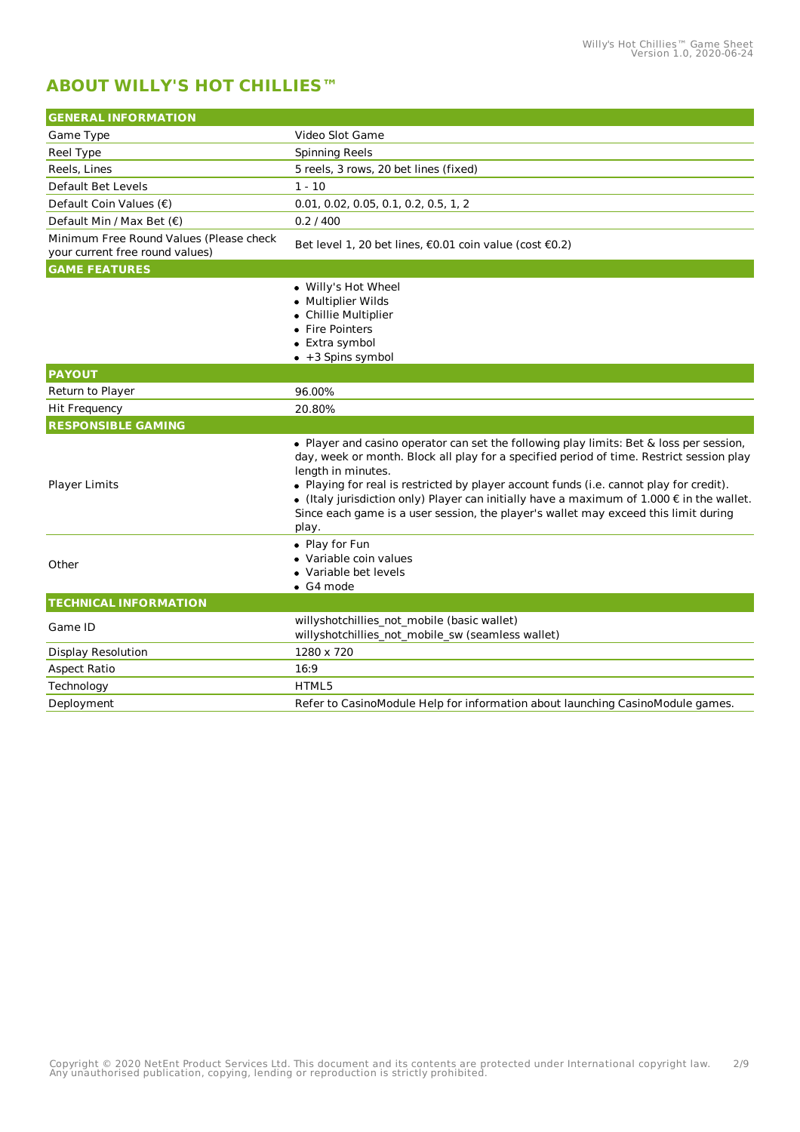# **ABOUT WILLY'S HOT CHILLIES™**

| <b>GENERAL INFORMATION</b>                                                 |                                                                                                                                                                                                                                                                                                                                                                                                                                                                                                                    |  |  |
|----------------------------------------------------------------------------|--------------------------------------------------------------------------------------------------------------------------------------------------------------------------------------------------------------------------------------------------------------------------------------------------------------------------------------------------------------------------------------------------------------------------------------------------------------------------------------------------------------------|--|--|
| Game Type                                                                  | Video Slot Game                                                                                                                                                                                                                                                                                                                                                                                                                                                                                                    |  |  |
| Reel Type                                                                  | <b>Spinning Reels</b>                                                                                                                                                                                                                                                                                                                                                                                                                                                                                              |  |  |
| Reels, Lines                                                               | 5 reels, 3 rows, 20 bet lines (fixed)                                                                                                                                                                                                                                                                                                                                                                                                                                                                              |  |  |
| Default Bet Levels                                                         | $1 - 10$                                                                                                                                                                                                                                                                                                                                                                                                                                                                                                           |  |  |
| Default Coin Values (€)                                                    | 0.01, 0.02, 0.05, 0.1, 0.2, 0.5, 1, 2                                                                                                                                                                                                                                                                                                                                                                                                                                                                              |  |  |
| Default Min / Max Bet $(\epsilon)$                                         | 0.2 / 400                                                                                                                                                                                                                                                                                                                                                                                                                                                                                                          |  |  |
| Minimum Free Round Values (Please check<br>your current free round values) | Bet level 1, 20 bet lines, €0.01 coin value (cost €0.2)                                                                                                                                                                                                                                                                                                                                                                                                                                                            |  |  |
| <b>GAME FEATURES</b>                                                       |                                                                                                                                                                                                                                                                                                                                                                                                                                                                                                                    |  |  |
|                                                                            | • Willy's Hot Wheel<br>• Multiplier Wilds<br>• Chillie Multiplier<br>• Fire Pointers<br>• Extra symbol<br>+3 Spins symbol                                                                                                                                                                                                                                                                                                                                                                                          |  |  |
| <b>PAYOUT</b>                                                              |                                                                                                                                                                                                                                                                                                                                                                                                                                                                                                                    |  |  |
| Return to Player                                                           | 96.00%                                                                                                                                                                                                                                                                                                                                                                                                                                                                                                             |  |  |
| Hit Frequency                                                              | 20.80%                                                                                                                                                                                                                                                                                                                                                                                                                                                                                                             |  |  |
| <b>RESPONSIBLE GAMING</b>                                                  |                                                                                                                                                                                                                                                                                                                                                                                                                                                                                                                    |  |  |
| <b>Player Limits</b>                                                       | . Player and casino operator can set the following play limits: Bet & loss per session,<br>day, week or month. Block all play for a specified period of time. Restrict session play<br>length in minutes.<br>• Playing for real is restricted by player account funds (i.e. cannot play for credit).<br>$\bullet$ (Italy jurisdiction only) Player can initially have a maximum of 1.000 $\epsilon$ in the wallet.<br>Since each game is a user session, the player's wallet may exceed this limit during<br>play. |  |  |
| Other                                                                      | • Play for Fun<br>• Variable coin values<br>• Variable bet levels<br>$\bullet$ G4 mode                                                                                                                                                                                                                                                                                                                                                                                                                             |  |  |
| <b>TECHNICAL INFORMATION</b>                                               |                                                                                                                                                                                                                                                                                                                                                                                                                                                                                                                    |  |  |
| Game ID                                                                    | willyshotchillies_not_mobile (basic wallet)<br>willyshotchillies not mobile sw (seamless wallet)                                                                                                                                                                                                                                                                                                                                                                                                                   |  |  |
| <b>Display Resolution</b>                                                  | 1280 x 720                                                                                                                                                                                                                                                                                                                                                                                                                                                                                                         |  |  |
| <b>Aspect Ratio</b>                                                        | 16:9                                                                                                                                                                                                                                                                                                                                                                                                                                                                                                               |  |  |
| Technology                                                                 | HTML5                                                                                                                                                                                                                                                                                                                                                                                                                                                                                                              |  |  |
| Deployment                                                                 | Refer to CasinoModule Help for information about launching CasinoModule games.                                                                                                                                                                                                                                                                                                                                                                                                                                     |  |  |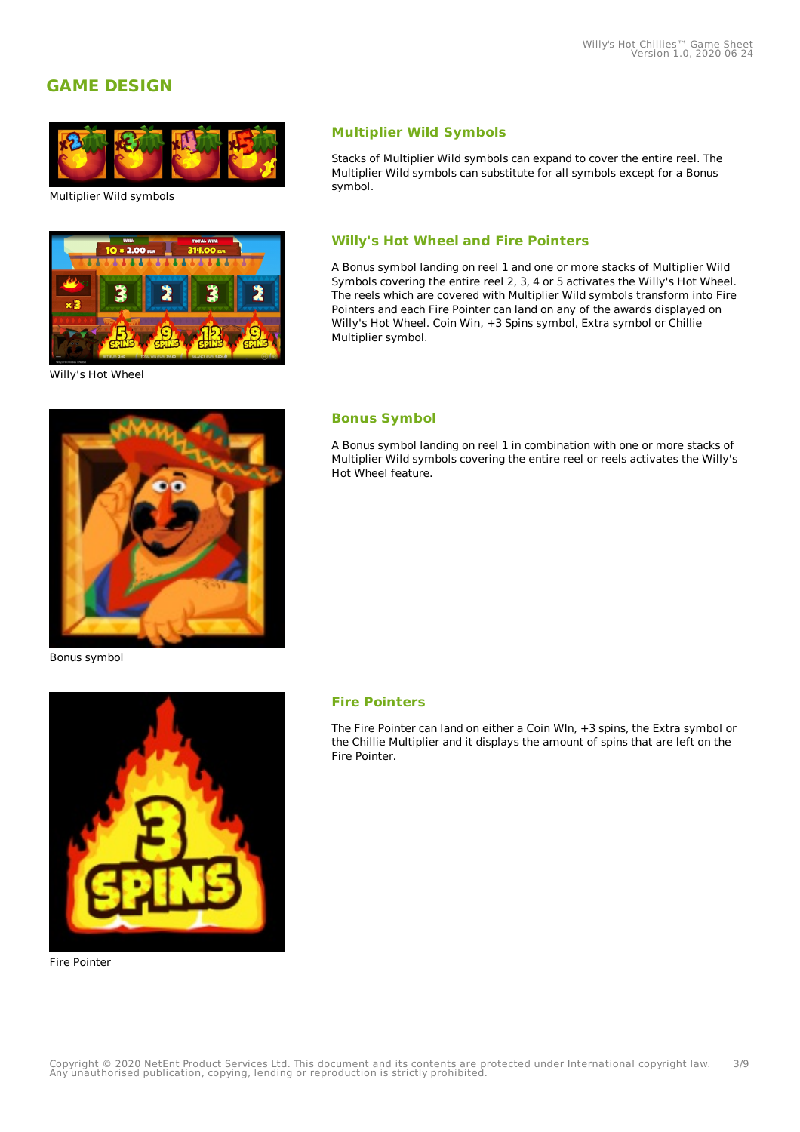# **GAME DESIGN**



Multiplier Wild symbols



Willy's Hot Wheel

### **Multiplier Wild Symbols**

Stacks of Multiplier Wild symbols can expand to cover the entire reel. The Multiplier Wild symbols can substitute for all symbols except for a Bonus symbol.

#### **Willy's Hot Wheel and Fire Pointers**

A Bonus symbol landing on reel 1 and one or more stacks of Multiplier Wild Symbols covering the entire reel 2, 3, 4 or 5 activates the Willy's Hot Wheel. The reels which are covered with Multiplier Wild symbols transform into Fire Pointers and each Fire Pointer can land on any of the awards displayed on Willy's Hot Wheel. Coin Win, +3 Spins symbol, Extra symbol or Chillie Multiplier symbol.

#### **Bonus Symbol**

A Bonus symbol landing on reel 1 in combination with one or more stacks of Multiplier Wild symbols covering the entire reel or reels activates the Willy's Hot Wheel feature.

Bonus symbol



Fire Pointer

#### **Fire Pointers**

The Fire Pointer can land on either a Coin WIn, +3 spins, the Extra symbol or the Chillie Multiplier and it displays the amount of spins that are left on the Fire Pointer.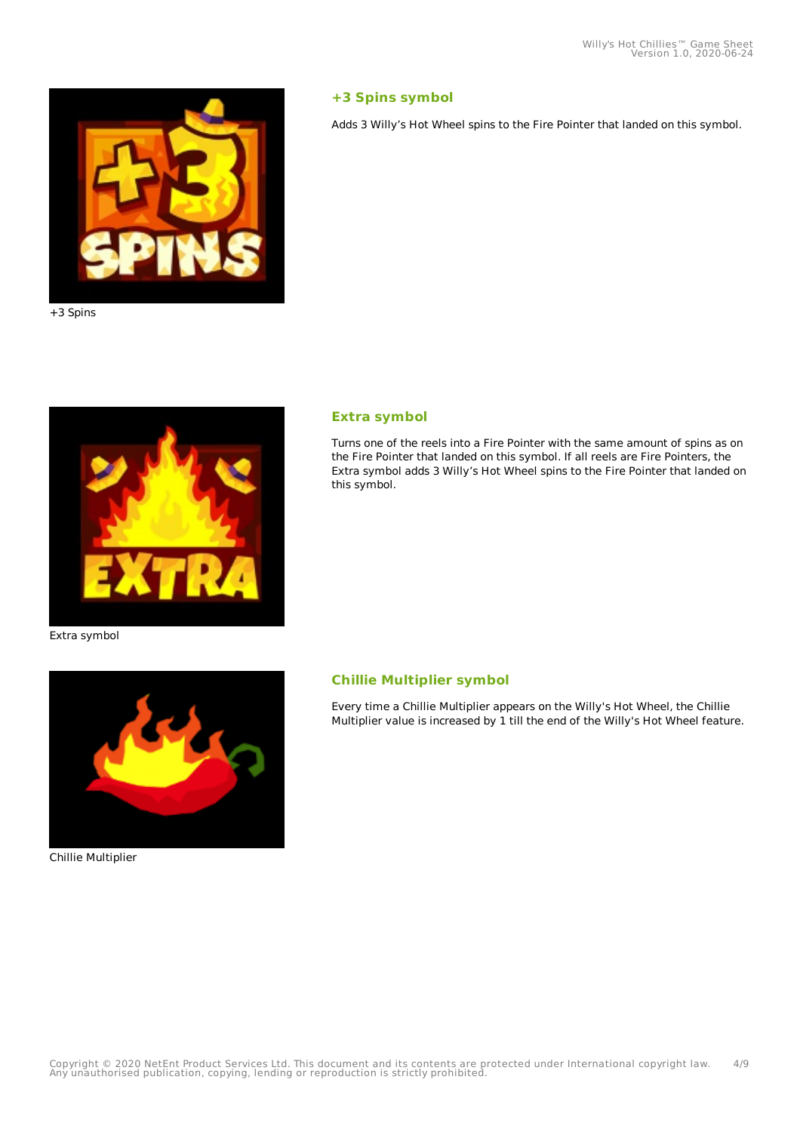

#### +3 Spins



#### **Extra symbol**

**+3 Spins symbol**

Turns one of the reels into a Fire Pointer with the same amount of spins as on the Fire Pointer that landed on this symbol. If all reels are Fire Pointers, the Extra symbol adds 3 Willy's Hot Wheel spins to the Fire Pointer that landed on this symbol.

Adds 3 Willy's Hot Wheel spins to the Fire Pointer that landed on this symbol.

#### Extra symbol



#### Chillie Multiplier

#### **Chillie Multiplier symbol**

Every time a Chillie Multiplier appears on the Willy's Hot Wheel, the Chillie Multiplier value is increased by 1 till the end of the Willy's Hot Wheel feature.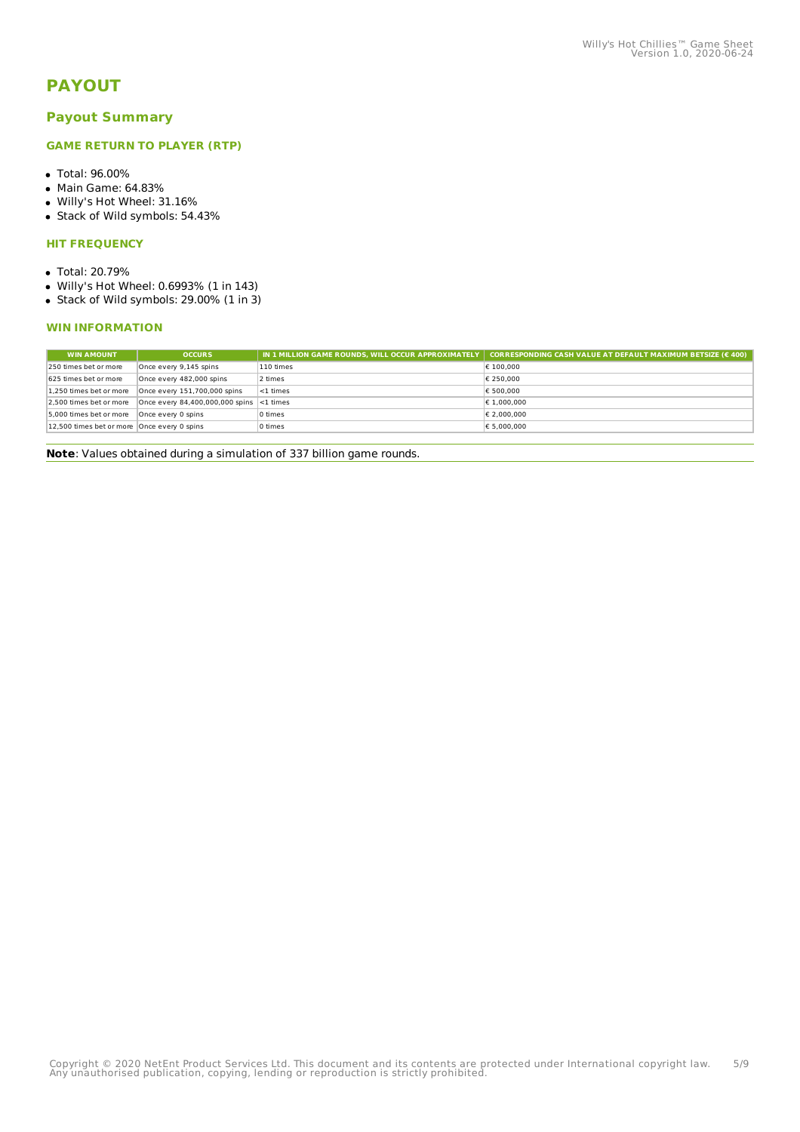# **PAYOUT**

#### **Payout Summary**

#### **GAME RETURN TO PLAYER (RTP)**

- Total: 96.00%
- Main Game: 64.83%
- Willy's Hot Wheel: 31.16%
- Stack of Wild symbols: 54.43%

#### **HIT FREQUENCY**

- Total: 20.79%
- Willy's Hot Wheel: 0.6993% (1 in 143)
- Stack of Wild symbols: 29.00% (1 in 3)

#### **WIN INFORMATION**

| <b>OCCURS</b>                                 | IN 1 MILLION GAME ROUNDS. WILL OCCUR APPROXIMATELY | CORRESPONDING CASH VALUE AT DEFAULT MAXIMUM BETSIZE ( $\epsilon$ 400) |
|-----------------------------------------------|----------------------------------------------------|-----------------------------------------------------------------------|
| Once every 9,145 spins                        | 110 times                                          | € 100,000                                                             |
| Once every 482,000 spins                      | 2 times                                            | € 250,000                                                             |
| Once every 151,700,000 spins                  | <1 times                                           | € 500,000                                                             |
|                                               |                                                    | € 1.000.000                                                           |
| Once every 0 spins                            | 0 times                                            | € 2.000.000                                                           |
| 12,500 times bet or more   Once every 0 spins | 0 times                                            | € 5.000.000                                                           |
|                                               |                                                    | Once every 84,400,000,000 spins <1 times                              |

**Note**: Values obtained during a simulation of 337 billion game rounds.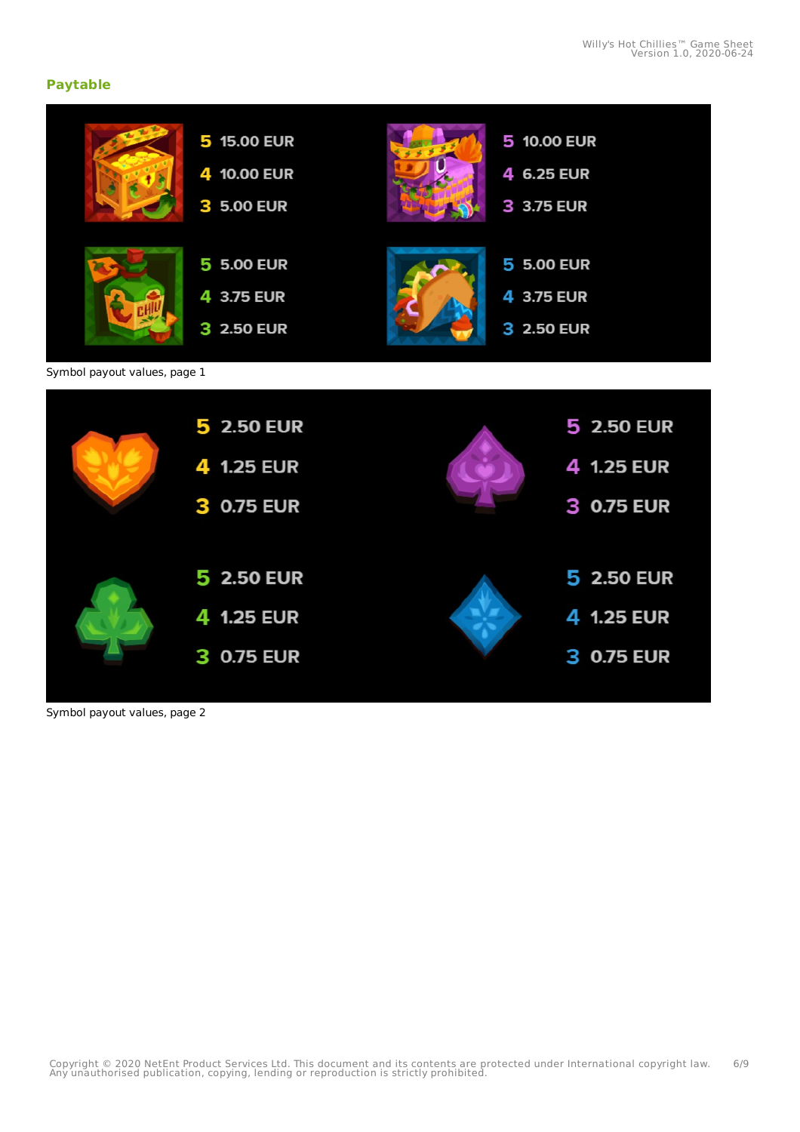## **Paytable**

|                              | 5 15.00 EUR<br>4 10.00 EUR<br>3 5.00 EUR         | 5 10.00 EUR<br>4 6.25 EUR<br>3 3.75 EUR       |
|------------------------------|--------------------------------------------------|-----------------------------------------------|
|                              | <b>5 5.00 EUR</b><br>4 3.75 EUR<br>3 2.50 EUR    | <b>5 5.00 EUR</b><br>4 3.75 EUR<br>3 2.50 EUR |
| Symbol payout values, page 1 |                                                  |                                               |
|                              | 5 2.50 EUR<br>4 1.25 EUR<br>3 0.75 EUR           | 5 2.50 EUR<br>4 1.25 EUR<br>3 0.75 EUR        |
|                              | 5 2.50 EUR<br>4 1.25 EUR<br><b>0.75 EUR</b><br>З | 5 2.50 EUR<br>4 1.25 EUR<br>3 0.75 EUR        |

Symbol payout values, page 2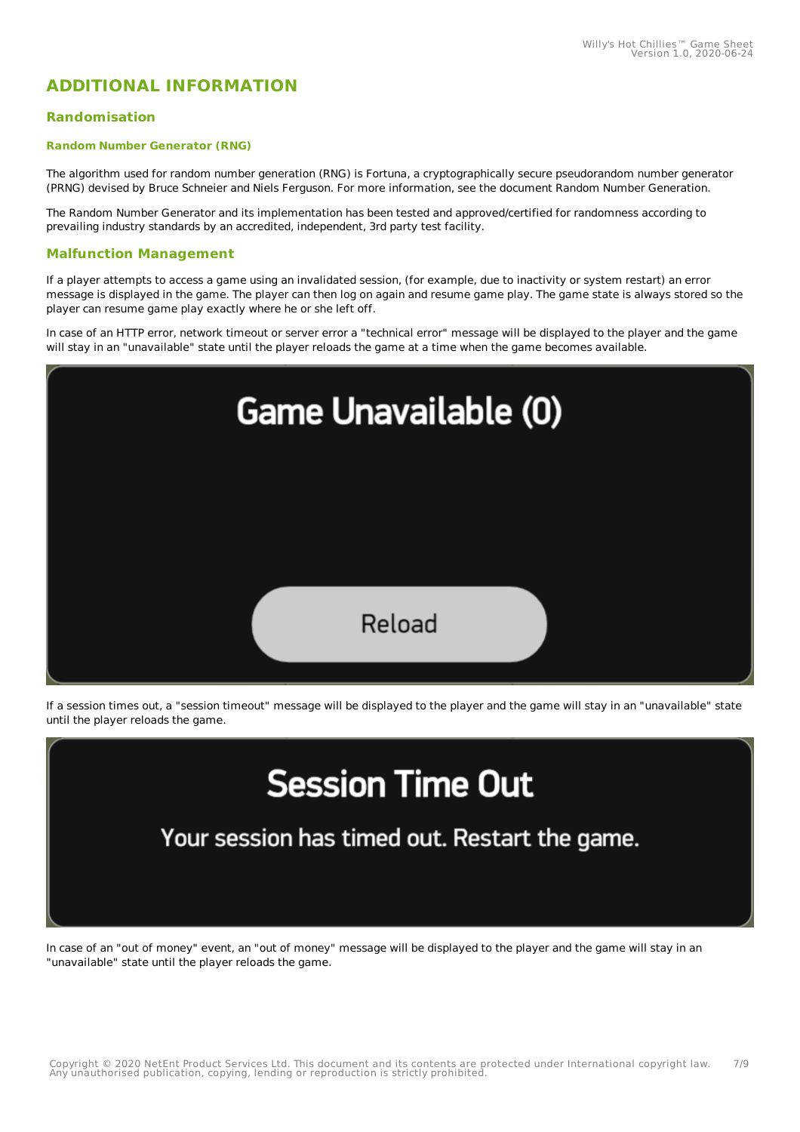# **ADDITIONAL INFORMATION**

#### **Randomisation**

#### **Random Number Generator (RNG)**

The algorithm used for random number generation (RNG) is Fortuna, a cryptographically secure pseudorandom number generator (PRNG) devised by Bruce Schneier and Niels Ferguson. For more information, see the document Random Number Generation.

The Random Number Generator and its implementation has been tested and approved/certified for randomness according to prevailing industry standards by an accredited, independent, 3rd party test facility.

#### **Malfunction Management**

If a player attempts to access a game using an invalidated session, (for example, due to inactivity or system restart) an error message is displayed in the game. The player can then log on again and resume game play. The game state is always stored so the player can resume game play exactly where he or she left off.

In case of an HTTP error, network timeout or server error a "technical error" message will be displayed to the player and the game will stay in an "unavailable" state until the player reloads the game at a time when the game becomes available.



If a session times out, a "session timeout" message will be displayed to the player and the game will stay in an "unavailable" state until the player reloads the game.

# **Session Time Out**

Your session has timed out. Restart the game.

In case of an "out of money" event, an "out of money" message will be displayed to the player and the game will stay in an "unavailable" state until the player reloads the game.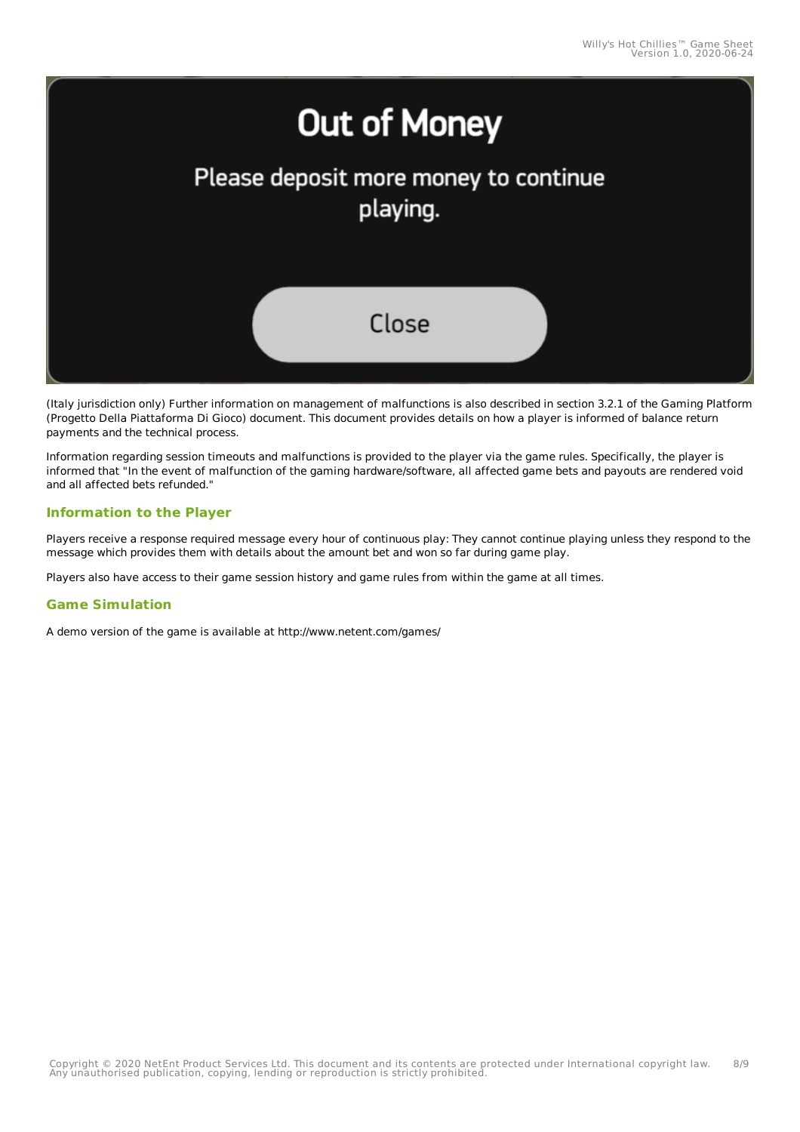

(Italy jurisdiction only) Further information on management of malfunctions is also described in section 3.2.1 of the Gaming Platform (Progetto Della Piattaforma Di Gioco) document. This document provides details on how a player is informed of balance return payments and the technical process.

Information regarding session timeouts and malfunctions is provided to the player via the game rules. Specifically, the player is informed that "In the event of malfunction of the gaming hardware/software, all affected game bets and payouts are rendered void and all affected bets refunded."

#### **Information to the Player**

Players receive a response required message every hour of continuous play: They cannot continue playing unless they respond to the message which provides them with details about the amount bet and won so far during game play.

Players also have access to their game session history and game rules from within the game at all times.

#### **Game Simulation**

A demo version of the game is available at http://www.netent.com/games/